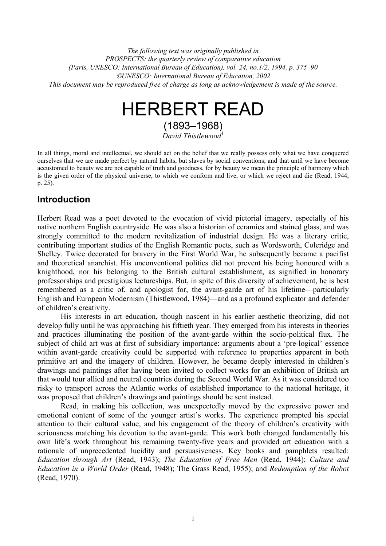*The following text was originally published in PROSPECTS: the quarterly review of comparative education (Paris, UNESCO: International Bureau of Education), vol. 24, no.1/2, 1994, p. 375–90 UNESCO: International Bureau of Education, 2002 This document may be reproduced free of charge as long as acknowledgement is made of the source.* 

# HERBERT READ

(1893–1968) *David Thistlewood*<sup>1</sup>

In all things, moral and intellectual, we should act on the belief that we really possess only what we have conquered ourselves that we are made perfect by natural habits, but slaves by social conventions; and that until we have become accustomed to beauty we are not capable of truth and goodness, for by beauty we mean the principle of harmony which is the given order of the physical universe, to which we conform and live, or which we reject and die (Read, 1944, p. 25).

# **Introduction**

Herbert Read was a poet devoted to the evocation of vivid pictorial imagery, especially of his native northern English countryside. He was also a historian of ceramics and stained glass, and was strongly committed to the modern revitalization of industrial design. He was a literary critic, contributing important studies of the English Romantic poets, such as Wordsworth, Coleridge and Shelley. Twice decorated for bravery in the First World War, he subsequently became a pacifist and theoretical anarchist. His unconventional politics did not prevent his being honoured with a knighthood, nor his belonging to the British cultural establishment, as signified in honorary professorships and prestigious lectureships. But, in spite of this diversity of achievement, he is best remembered as a critic of, and apologist for, the avant-garde art of his lifetime—particularly English and European Modernism (Thistlewood, 1984)—and as a profound explicator and defender of children's creativity.

His interests in art education, though nascent in his earlier aesthetic theorizing, did not develop fully until he was approaching his fiftieth year. They emerged from his interests in theories and practices illuminating the position of the avant-garde within the socio-political flux. The subject of child art was at first of subsidiary importance: arguments about a 'pre-logical' essence within avant-garde creativity could be supported with reference to properties apparent in both primitive art and the imagery of children. However, he became deeply interested in children's drawings and paintings after having been invited to collect works for an exhibition of British art that would tour allied and neutral countries during the Second World War. As it was considered too risky to transport across the Atlantic works of established importance to the national heritage, it was proposed that children's drawings and paintings should be sent instead.

Read, in making his collection, was unexpectedly moved by the expressive power and emotional content of some of the younger artist's works. The experience prompted his special attention to their cultural value, and his engagement of the theory of children's creativity with seriousness matching his devotion to the avant-garde. This work both changed fundamentally his own life's work throughout his remaining twenty-five years and provided art education with a rationale of unprecedented lucidity and persuasiveness. Key books and pamphlets resulted: *Education through Art* (Read, 1943); *The Education of Free Men* (Read, 1944); *Culture and Education in a World Order* (Read, 1948); The Grass Read, 1955); and *Redemption of the Robot*  (Read, 1970).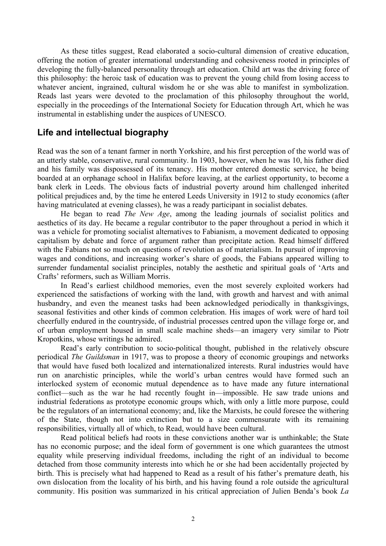As these titles suggest, Read elaborated a socio-cultural dimension of creative education, offering the notion of greater international understanding and cohesiveness rooted in principles of developing the fully-balanced personality through art education. Child art was the driving force of this philosophy: the heroic task of education was to prevent the young child from losing access to whatever ancient, ingrained, cultural wisdom he or she was able to manifest in symbolization. Reads last years were devoted to the proclamation of this philosophy throughout the world, especially in the proceedings of the International Society for Education through Art, which he was instrumental in establishing under the auspices of UNESCO.

# **Life and intellectual biography**

Read was the son of a tenant farmer in north Yorkshire, and his first perception of the world was of an utterly stable, conservative, rural community. In 1903, however, when he was 10, his father died and his family was dispossessed of its tenancy. His mother entered domestic service, he being boarded at an orphanage school in Halifax before leaving, at the earliest opportunity, to become a bank clerk in Leeds. The obvious facts of industrial poverty around him challenged inherited political prejudices and, by the time he entered Leeds University in 1912 to study economics (after having matriculated at evening classes), he was a ready participant in socialist debates.

He began to read *The New Age*, among the leading journals of socialist politics and aesthetics of its day. He became a regular contributor to the paper throughout a period in which it was a vehicle for promoting socialist alternatives to Fabianism, a movement dedicated to opposing capitalism by debate and force of argument rather than precipitate action. Read himself differed with the Fabians not so much on questions of revolution as of materialism. In pursuit of improving wages and conditions, and increasing worker's share of goods, the Fabians appeared willing to surrender fundamental socialist principles, notably the aesthetic and spiritual goals of 'Arts and Crafts' reformers, such as William Morris.

In Read's earliest childhood memories, even the most severely exploited workers had experienced the satisfactions of working with the land, with growth and harvest and with animal husbandry, and even the meanest tasks had been acknowledged periodically in thanksgivings, seasonal festivities and other kinds of common celebration. His images of work were of hard toil cheerfully endured in the countryside, of industrial processes centred upon the village forge or, and of urban employment housed in small scale machine sheds—an imagery very similar to Piotr Kropotkins, whose writings he admired.

Read's early contribution to socio-political thought, published in the relatively obscure periodical *The Guildsman* in 1917, was to propose a theory of economic groupings and networks that would have fused both localized and internationalized interests. Rural industries would have run on anarchistic principles, while the world's urban centres would have formed such an interlocked system of economic mutual dependence as to have made any future international conflict—such as the war he had recently fought in—impossible. He saw trade unions and industrial federations as prototype economic groups which, with only a little more purpose, could be the regulators of an international economy; and, like the Marxists, he could foresee the withering of the State, though not into extinction but to a size commensurate with its remaining responsibilities, virtually all of which, to Read, would have been cultural.

Read political beliefs had roots in these convictions another war is unthinkable; the State has no economic purpose; and the ideal form of government is one which guarantees the utmost equality while preserving individual freedoms, including the right of an individual to become detached from those community interests into which he or she had been accidentally projected by birth. This is precisely what had happened to Read as a result of his father's premature death, his own dislocation from the locality of his birth, and his having found a role outside the agricultural community. His position was summarized in his critical appreciation of Julien Benda's book *La*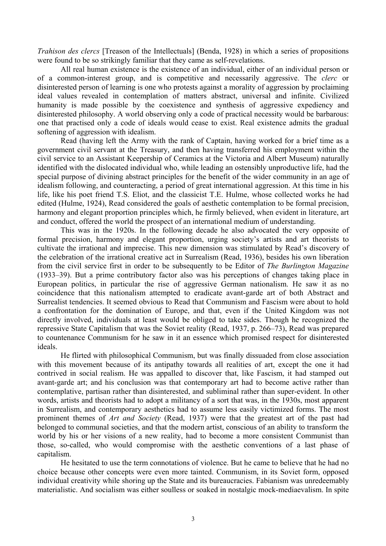*Trahison des clercs* [Treason of the Intellectuals] (Benda, 1928) in which a series of propositions were found to be so strikingly familiar that they came as self-revelations.

All real human existence is the existence of an individual, either of an individual person or of a common-interest group, and is competitive and necessarily aggressive. The *clerc* or disinterested person of learning is one who protests against a morality of aggression by proclaiming ideal values revealed in contemplation of matters abstract, universal and infinite. Civilized humanity is made possible by the coexistence and synthesis of aggressive expediency and disinterested philosophy. A world observing only a code of practical necessity would be barbarous: one that practised only a code of ideals would cease to exist. Real existence admits the gradual softening of aggression with idealism.

Read (having left the Army with the rank of Captain, having worked for a brief time as a government civil servant at the Treasury, and then having transferred his employment within the civil service to an Assistant Keepership of Ceramics at the Victoria and Albert Museum) naturally identified with the dislocated individual who, while leading an ostensibly unproductive life, had the special purpose of divining abstract principles for the benefit of the wider community in an age of idealism following, and counteracting, a period of great international aggression. At this time in his life, like his poet friend T.S. Eliot, and the classicist T.E. Hulme, whose collected works he had edited (Hulme, 1924), Read considered the goals of aesthetic contemplation to be formal precision, harmony and elegant proportion principles which, he firmly believed, when evident in literature, art and conduct, offered the world the prospect of an international medium of understanding.

This was in the 1920s. In the following decade he also advocated the very opposite of formal precision, harmony and elegant proportion, urging society's artists and art theorists to cultivate the irrational and imprecise. This new dimension was stimulated by Read's discovery of the celebration of the irrational creative act in Surrealism (Read, 1936), besides his own liberation from the civil service first in order to be subsequently to be Editor of *The Burlington Magazine* (1933–39). But a prime contributory factor also was his perceptions of changes taking place in European politics, in particular the rise of aggressive German nationalism. He saw it as no coincidence that this nationalism attempted to eradicate avant-garde art of both Abstract and Surrealist tendencies. It seemed obvious to Read that Communism and Fascism were about to hold a confrontation for the domination of Europe, and that, even if the United Kingdom was not directly involved, individuals at least would be obliged to take sides. Though he recognized the repressive State Capitalism that was the Soviet reality (Read, 1937, p. 266–73), Read was prepared to countenance Communism for he saw in it an essence which promised respect for disinterested ideals.

He flirted with philosophical Communism, but was finally dissuaded from close association with this movement because of its antipathy towards all realities of art, except the one it had contrived in social realism. He was appalled to discover that, like Fascism, it had stamped out avant-garde art; and his conclusion was that contemporary art had to become active rather than contemplative, partisan rather than disinterested, and subliminal rather than super-evident. In other words, artists and theorists had to adopt a militancy of a sort that was, in the 1930s, most apparent in Surrealism, and contemporary aesthetics had to assume less easily victimized forms. The most prominent themes of *Art and Society* (Read, 1937) were that the greatest art of the past had belonged to communal societies, and that the modern artist, conscious of an ability to transform the world by his or her visions of a new reality, had to become a more consistent Communist than those, so-called, who would compromise with the aesthetic conventions of a last phase of capitalism.

He hesitated to use the term connotations of violence. But he came to believe that he had no choice because other concepts were even more tainted. Communism, in its Soviet form, opposed individual creativity while shoring up the State and its bureaucracies. Fabianism was unredeemably materialistic. And socialism was either soulless or soaked in nostalgic mock-mediaevalism. In spite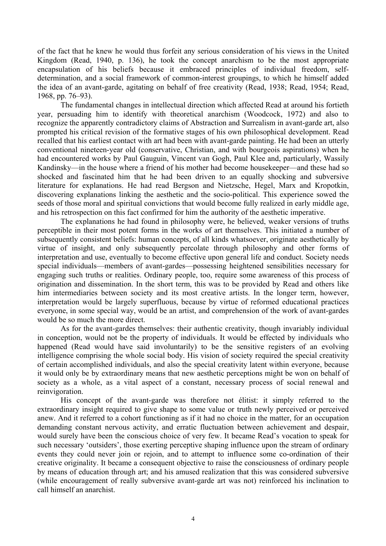of the fact that he knew he would thus forfeit any serious consideration of his views in the United Kingdom (Read, 1940, p. 136), he took the concept anarchism to be the most appropriate encapsulation of his beliefs because it embraced principles of individual freedom, selfdetermination, and a social framework of common-interest groupings, to which he himself added the idea of an avant-garde, agitating on behalf of free creativity (Read, 1938; Read, 1954; Read, 1968, pp. 76–93).

The fundamental changes in intellectual direction which affected Read at around his fortieth year, persuading him to identify with theoretical anarchism (Woodcock, 1972) and also to recognize the apparently contradictory claims of Abstraction and Surrealism in avant-garde art, also prompted his critical revision of the formative stages of his own philosophical development. Read recalled that his earliest contact with art had been with avant-garde painting. He had been an utterly conventional nineteen-year old (conservative, Christian, and with bourgeois aspirations) when he had encountered works by Paul Gauguin, Vincent van Gogh, Paul Klee and, particularly, Wassily Kandinsky—in the house where a friend of his mother had become housekeeper—and these had so shocked and fascinated him that he had been driven to an equally shocking and subversive literature for explanations. He had read Bergson and Nietzsche, Hegel, Marx and Kropotkin, discovering explanations linking the aesthetic and the socio-political. This experience sowed the seeds of those moral and spiritual convictions that would become fully realized in early middle age, and his retrospection on this fact confirmed for him the authority of the aesthetic imperative.

The explanations he had found in philosophy were, he believed, weaker versions of truths perceptible in their most potent forms in the works of art themselves. This initiated a number of subsequently consistent beliefs: human concepts, of all kinds whatsoever, originate aesthetically by virtue of insight, and only subsequently percolate through philosophy and other forms of interpretation and use, eventually to become effective upon general life and conduct. Society needs special individuals—members of avant-gardes—possessing heightened sensibilities necessary for engaging such truths or realities. Ordinary people, too, require some awareness of this process of origination and dissemination. In the short term, this was to be provided by Read and others like him intermediaries between society and its most creative artists. In the longer term, however, interpretation would be largely superfluous, because by virtue of reformed educational practices everyone, in some special way, would be an artist, and comprehension of the work of avant-gardes would be so much the more direct.

As for the avant-gardes themselves: their authentic creativity, though invariably individual in conception, would not be the property of individuals. It would be effected by individuals who happened (Read would have said involuntarily) to be the sensitive registers of an evolving intelligence comprising the whole social body. His vision of society required the special creativity of certain accomplished individuals, and also the special creativity latent within everyone, because it would only be by extraordinary means that new aesthetic perceptions might be won on behalf of society as a whole, as a vital aspect of a constant, necessary process of social renewal and reinvigoration.

His concept of the avant-garde was therefore not élitist: it simply referred to the extraordinary insight required to give shape to some value or truth newly perceived or perceived anew. And it referred to a cohort functioning as if it had no choice in the matter, for an occupation demanding constant nervous activity, and erratic fluctuation between achievement and despair, would surely have been the conscious choice of very few. It became Read's vocation to speak for such necessary 'outsiders', those exerting perceptive shaping influence upon the stream of ordinary events they could never join or rejoin, and to attempt to influence some co-ordination of their creative originality. It became a consequent objective to raise the consciousness of ordinary people by means of education through art; and his amused realization that this was considered subversive (while encouragement of really subversive avant-garde art was not) reinforced his inclination to call himself an anarchist.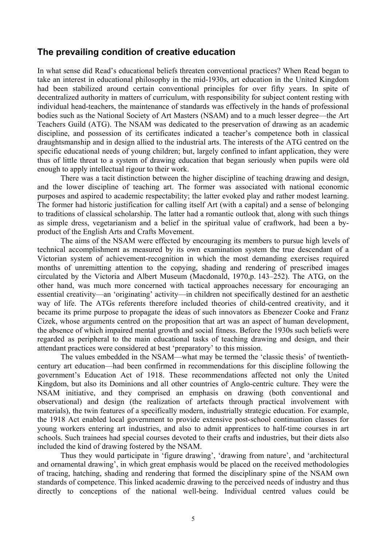### **The prevailing condition of creative education**

In what sense did Read's educational beliefs threaten conventional practices? When Read began to take an interest in educational philosophy in the mid-1930s, art education in the United Kingdom had been stabilized around certain conventional principles for over fifty years. In spite of decentralized authority in matters of curriculum, with responsibility for subject content resting with individual head-teachers, the maintenance of standards was effectively in the hands of professional bodies such as the National Society of Art Masters (NSAM) and to a much lesser degree—the Art Teachers Guild (ATG). The NSAM was dedicated to the preservation of drawing as an academic discipline, and possession of its certificates indicated a teacher's competence both in classical draughtsmanship and in design allied to the industrial arts. The interests of the ATG centred on the specific educational needs of young children; but, largely confined to infant application, they were thus of little threat to a system of drawing education that began seriously when pupils were old enough to apply intellectual rigour to their work.

There was a tacit distinction between the higher discipline of teaching drawing and design, and the lower discipline of teaching art. The former was associated with national economic purposes and aspired to academic respectability; the latter evoked play and rather modest learning. The former had historic justification for calling itself Art (with a capital) and a sense of belonging to traditions of classical scholarship. The latter had a romantic outlook that, along with such things as simple dress, vegetarianism and a belief in the spiritual value of craftwork, had been a byproduct of the English Arts and Crafts Movement.

The aims of the NSAM were effected by encouraging its members to pursue high levels of technical accomplishment as measured by its own examination system the true descendant of a Victorian system of achievement-recognition in which the most demanding exercises required months of unremitting attention to the copying, shading and rendering of prescribed images circulated by the Victoria and Albert Museum (Macdonald, 1970,p. 143–252). The ATG, on the other hand, was much more concerned with tactical approaches necessary for encouraging an essential creativity—an 'originating' activity—in children not specifically destined for an aesthetic way of life. The ATGs referents therefore included theories of child-centred creativity, and it became its prime purpose to propagate the ideas of such innovators as Ebenezer Cooke and Franz Cizek, whose arguments centred on the proposition that art was an aspect of human development, the absence of which impaired mental growth and social fitness. Before the 1930s such beliefs were regarded as peripheral to the main educational tasks of teaching drawing and design, and their attendant practices were considered at best 'preparatory' to this mission.

The values embedded in the NSAM—what may be termed the 'classic thesis' of twentiethcentury art education—had been confirmed in recommendations for this discipline following the government's Education Act of 1918. These recommendations affected not only the United Kingdom, but also its Dominions and all other countries of Anglo-centric culture. They were the NSAM initiative, and they comprised an emphasis on drawing (both conventional and observational) and design (the realization of artefacts through practical involvement with materials), the twin features of a specifically modern, industrially strategic education. For example, the 1918 Act enabled local government to provide extensive post-school continuation classes for young workers entering art industries, and also to admit apprentices to half-time courses in art schools. Such trainees had special courses devoted to their crafts and industries, but their diets also included the kind of drawing fostered by the NSAM.

Thus they would participate in 'figure drawing', 'drawing from nature', and 'architectural and ornamental drawing', in which great emphasis would be placed on the received methodologies of tracing, hatching, shading and rendering that formed the disciplinary spine of the NSAM own standards of competence. This linked academic drawing to the perceived needs of industry and thus directly to conceptions of the national well-being. Individual centred values could be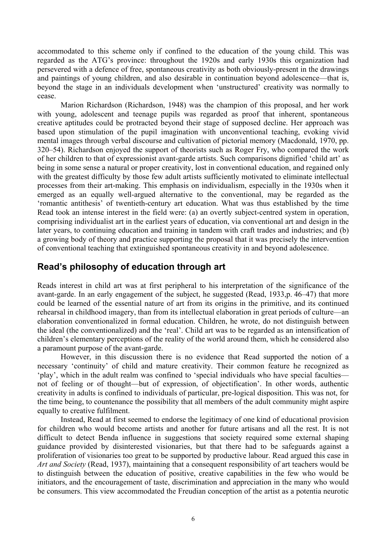accommodated to this scheme only if confined to the education of the young child. This was regarded as the ATG's province: throughout the 1920s and early 1930s this organization had persevered with a defence of free, spontaneous creativity as both obviously-present in the drawings and paintings of young children, and also desirable in continuation beyond adolescence—that is, beyond the stage in an individuals development when 'unstructured' creativity was normally to cease.

Marion Richardson (Richardson, 1948) was the champion of this proposal, and her work with young, adolescent and teenage pupils was regarded as proof that inherent, spontaneous creative aptitudes could be protracted beyond their stage of supposed decline. Her approach was based upon stimulation of the pupil imagination with unconventional teaching, evoking vivid mental images through verbal discourse and cultivation of pictorial memory (Macdonald, 1970, pp. 320–54). Richardson enjoyed the support of theorists such as Roger Fry, who compared the work of her children to that of expressionist avant-garde artists. Such comparisons dignified 'child art' as being in some sense a natural or proper creativity, lost in conventional education, and regained only with the greatest difficulty by those few adult artists sufficiently motivated to eliminate intellectual processes from their art-making. This emphasis on individualism, especially in the 1930s when it emerged as an equally well-argued alternative to the conventional, may be regarded as the 'romantic antithesis' of twentieth-century art education. What was thus established by the time Read took an intense interest in the field were: (a) an overtly subject-centred system in operation, comprising individualist art in the earliest years of education, via conventional art and design in the later years, to continuing education and training in tandem with craft trades and industries; and (b) a growing body of theory and practice supporting the proposal that it was precisely the intervention of conventional teaching that extinguished spontaneous creativity in and beyond adolescence.

### **Read's philosophy of education through art**

Reads interest in child art was at first peripheral to his interpretation of the significance of the avant-garde. In an early engagement of the subject, he suggested (Read, 1933,p. 46–47) that more could be learned of the essential nature of art from its origins in the primitive, and its continued rehearsal in childhood imagery, than from its intellectual elaboration in great periods of culture—an elaboration conventionalized in formal education. Children, he wrote, do not distinguish between the ideal (the conventionalized) and the 'real'. Child art was to be regarded as an intensification of children's elementary perceptions of the reality of the world around them, which he considered also a paramount purpose of the avant-garde.

However, in this discussion there is no evidence that Read supported the notion of a necessary 'continuity' of child and mature creativity. Their common feature he recognized as 'play', which in the adult realm was confined to 'special individuals who have special faculties not of feeling or of thought—but of expression, of objectification'. In other words, authentic creativity in adults is confined to individuals of particular, pre-logical disposition. This was not, for the time being, to countenance the possibility that all members of the adult community might aspire equally to creative fulfilment.

Instead, Read at first seemed to endorse the legitimacy of one kind of educational provision for children who would become artists and another for future artisans and all the rest. It is not difficult to detect Benda influence in suggestions that society required some external shaping guidance provided by disinterested visionaries, but that there had to be safeguards against a proliferation of visionaries too great to be supported by productive labour. Read argued this case in *Art and Society* (Read, 1937), maintaining that a consequent responsibility of art teachers would be to distinguish between the education of positive, creative capabilities in the few who would be initiators, and the encouragement of taste, discrimination and appreciation in the many who would be consumers. This view accommodated the Freudian conception of the artist as a potentia neurotic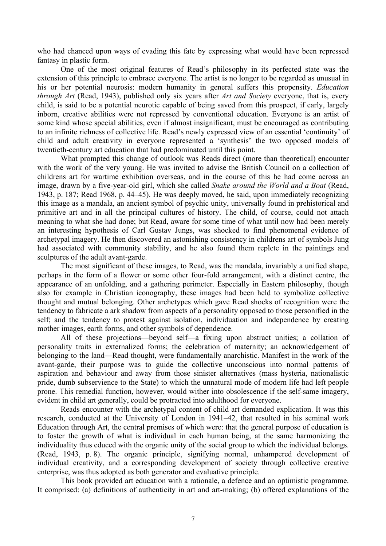who had chanced upon ways of evading this fate by expressing what would have been repressed fantasy in plastic form.

One of the most original features of Read's philosophy in its perfected state was the extension of this principle to embrace everyone. The artist is no longer to be regarded as unusual in his or her potential neurosis: modern humanity in general suffers this propensity. *Education through Art* (Read, 1943), published only six years after *Art and Society* everyone, that is, every child, is said to be a potential neurotic capable of being saved from this prospect, if early, largely inborn, creative abilities were not repressed by conventional education. Everyone is an artist of some kind whose special abilities, even if almost insignificant, must be encouraged as contributing to an infinite richness of collective life. Read's newly expressed view of an essential 'continuity' of child and adult creativity in everyone represented a 'synthesis' the two opposed models of twentieth-century art education that had predominated until this point.

What prompted this change of outlook was Reads direct (more than theoretical) encounter with the work of the very young. He was invited to advise the British Council on a collection of childrens art for wartime exhibition overseas, and in the course of this he had come across an image, drawn by a five-year-old girl, which she called *Snake around the World and a Boat* (Read, 1943, p. 187; Read 1968, p. 44–45). He was deeply moved, he said, upon immediately recognizing this image as a mandala, an ancient symbol of psychic unity, universally found in prehistorical and primitive art and in all the principal cultures of history. The child, of course, could not attach meaning to what she had done; but Read, aware for some time of what until now had been merely an interesting hypothesis of Carl Gustav Jungs, was shocked to find phenomenal evidence of archetypal imagery. He then discovered an astonishing consistency in childrens art of symbols Jung had associated with community stability, and he also found them replete in the paintings and sculptures of the adult avant-garde.

The most significant of these images, to Read, was the mandala, invariably a unified shape, perhaps in the form of a flower or some other four-fold arrangement, with a distinct centre, the appearance of an unfolding, and a gathering perimeter. Especially in Eastern philosophy, though also for example in Christian iconography, these images had been held to symbolize collective thought and mutual belonging. Other archetypes which gave Read shocks of recognition were the tendency to fabricate a ark shadow from aspects of a personality opposed to those personified in the self; and the tendency to protest against isolation, individuation and independence by creating mother images, earth forms, and other symbols of dependence.

All of these projections—beyond self—a fixing upon abstract unities; a collation of personality traits in externalized forms; the celebration of maternity; an acknowledgement of belonging to the land—Read thought, were fundamentally anarchistic. Manifest in the work of the avant-garde, their purpose was to guide the collective unconscious into normal patterns of aspiration and behaviour and away from those sinister alternatives (mass hysteria, nationalistic pride, dumb subservience to the State) to which the unnatural mode of modern life had left people prone. This remedial function, however, would wither into obsolescence if the self-same imagery, evident in child art generally, could be protracted into adulthood for everyone.

Reads encounter with the archetypal content of child art demanded explication. It was this research, conducted at the University of London in 1941–42, that resulted in his seminal work Education through Art, the central premises of which were: that the general purpose of education is to foster the growth of what is individual in each human being, at the same harmonizing the individuality thus educed with the organic unity of the social group to which the individual belongs. (Read, 1943, p. 8). The organic principle, signifying normal, unhampered development of individual creativity, and a corresponding development of society through collective creative enterprise, was thus adopted as both generator and evaluative principle.

This book provided art education with a rationale, a defence and an optimistic programme. It comprised: (a) definitions of authenticity in art and art-making; (b) offered explanations of the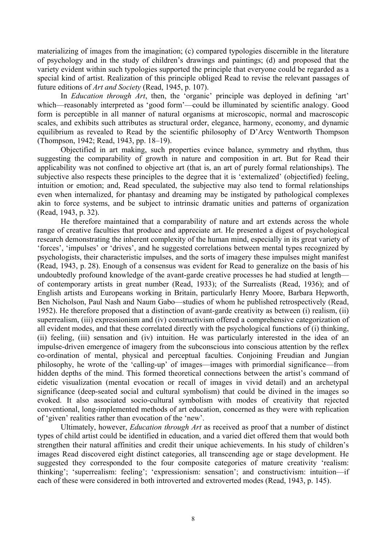materializing of images from the imagination; (c) compared typologies discernible in the literature of psychology and in the study of children's drawings and paintings; (d) and proposed that the variety evident within such typologies supported the principle that everyone could be regarded as a special kind of artist. Realization of this principle obliged Read to revise the relevant passages of future editions of *Art and Society* (Read, 1945, p. 107).

In *Education through Art*, then, the 'organic' principle was deployed in defining 'art' which—reasonably interpreted as 'good form'—could be illuminated by scientific analogy. Good form is perceptible in all manner of natural organisms at microscopic, normal and macroscopic scales, and exhibits such attributes as structural order, elegance, harmony, economy, and dynamic equilibrium as revealed to Read by the scientific philosophy of D'Arcy Wentworth Thompson (Thompson, 1942; Read, 1943, pp. 18–19).

Objectified in art making, such properties evince balance, symmetry and rhythm, thus suggesting the comparability of growth in nature and composition in art. But for Read their applicability was not confined to objective art (that is, an art of purely formal relationships). The subjective also respects these principles to the degree that it is 'externalized' (objectified) feeling, intuition or emotion; and, Read speculated, the subjective may also tend to formal relationships even when internalized, for phantasy and dreaming may be instigated by pathological complexes akin to force systems, and be subject to intrinsic dramatic unities and patterns of organization (Read, 1943, p. 32).

He therefore maintained that a comparability of nature and art extends across the whole range of creative faculties that produce and appreciate art. He presented a digest of psychological research demonstrating the inherent complexity of the human mind, especially in its great variety of 'forces', 'impulses' or 'drives', and he suggested correlations between mental types recognized by psychologists, their characteristic impulses, and the sorts of imagery these impulses might manifest (Read, 1943, p. 28). Enough of a consensus was evident for Read to generalize on the basis of his undoubtedly profound knowledge of the avant-garde creative processes he had studied at length of contemporary artists in great number (Read, 1933); of the Surrealists (Read, 1936); and of English artists and Europeans working in Britain, particularly Henry Moore, Barbara Hepworth, Ben Nicholson, Paul Nash and Naum Gabo—studies of whom he published retrospectively (Read, 1952). He therefore proposed that a distinction of avant-garde creativity as between (i) realism, (ii) superrealism, (iii) expressionism and (iv) constructivism offered a comprehensive categorization of all evident modes, and that these correlated directly with the psychological functions of (i) thinking, (ii) feeling, (iii) sensation and (iv) intuition. He was particularly interested in the idea of an impulse-driven emergence of imagery from the subconscious into conscious attention by the reflex co-ordination of mental, physical and perceptual faculties. Conjoining Freudian and Jungian philosophy, he wrote of the 'calling-up' of images—images with primordial significance—from hidden depths of the mind. This formed theoretical connections between the artist's command of eidetic visualization (mental evocation or recall of images in vivid detail) and an archetypal significance (deep-seated social and cultural symbolism) that could be divined in the images so evoked. It also associated socio-cultural symbolism with modes of creativity that rejected conventional, long-implemented methods of art education, concerned as they were with replication of 'given' realities rather than evocation of the 'new'.

Ultimately, however, *Education through Art* as received as proof that a number of distinct types of child artist could be identified in education, and a varied diet offered them that would both strengthen their natural affinities and credit their unique achievements. In his study of children's images Read discovered eight distinct categories, all transcending age or stage development. He suggested they corresponded to the four composite categories of mature creativity 'realism: thinking'; 'superrealism: feeling'; 'expressionism: sensation'; and constructivism: intuition—if each of these were considered in both introverted and extroverted modes (Read, 1943, p. 145).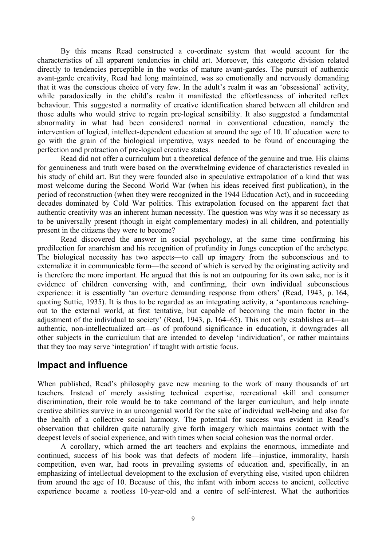By this means Read constructed a co-ordinate system that would account for the characteristics of all apparent tendencies in child art. Moreover, this categoric division related directly to tendencies perceptible in the works of mature avant-gardes. The pursuit of authentic avant-garde creativity, Read had long maintained, was so emotionally and nervously demanding that it was the conscious choice of very few. In the adult's realm it was an 'obsessional' activity, while paradoxically in the child's realm it manifested the effortlessness of inherited reflex behaviour. This suggested a normality of creative identification shared between all children and those adults who would strive to regain pre-logical sensibility. It also suggested a fundamental abnormality in what had been considered normal in conventional education, namely the intervention of logical, intellect-dependent education at around the age of 10. If education were to go with the grain of the biological imperative, ways needed to be found of encouraging the perfection and protraction of pre-logical creative states.

Read did not offer a curriculum but a theoretical defence of the genuine and true. His claims for genuineness and truth were based on the overwhelming evidence of characteristics revealed in his study of child art. But they were founded also in speculative extrapolation of a kind that was most welcome during the Second World War (when his ideas received first publication), in the period of reconstruction (when they were recognized in the 1944 Education Act), and in succeeding decades dominated by Cold War politics. This extrapolation focused on the apparent fact that authentic creativity was an inherent human necessity. The question was why was it so necessary as to be universally present (though in eight complementary modes) in all children, and potentially present in the citizens they were to become?

Read discovered the answer in social psychology, at the same time confirming his predilection for anarchism and his recognition of profundity in Jungs conception of the archetype. The biological necessity has two aspects—to call up imagery from the subconscious and to externalize it in communicable form—the second of which is served by the originating activity and is therefore the more important. He argued that this is not an outpouring for its own sake, nor is it evidence of children conversing with, and confirming, their own individual subconscious experience: it is essentially 'an overture demanding response from others' (Read, 1943, p. 164, quoting Suttie, 1935). It is thus to be regarded as an integrating activity, a 'spontaneous reachingout to the external world, at first tentative, but capable of becoming the main factor in the adjustment of the individual to society' (Read, 1943, p. 164–65). This not only establishes art—an authentic, non-intellectualized art—as of profound significance in education, it downgrades all other subjects in the curriculum that are intended to develop 'individuation', or rather maintains that they too may serve 'integration' if taught with artistic focus.

### **Impact and influence**

When published, Read's philosophy gave new meaning to the work of many thousands of art teachers. Instead of merely assisting technical expertise, recreational skill and consumer discrimination, their role would be to take command of the larger curriculum, and help innate creative abilities survive in an uncongenial world for the sake of individual well-being and also for the health of a collective social harmony. The potential for success was evident in Read's observation that children quite naturally give forth imagery which maintains contact with the deepest levels of social experience, and with times when social cohesion was the normal order.

A corollary, which armed the art teachers and explains the enormous, immediate and continued, success of his book was that defects of modern life—injustice, immorality, harsh competition, even war, had roots in prevailing systems of education and, specifically, in an emphasizing of intellectual development to the exclusion of everything else, visited upon children from around the age of 10. Because of this, the infant with inborn access to ancient, collective experience became a rootless 10-year-old and a centre of self-interest. What the authorities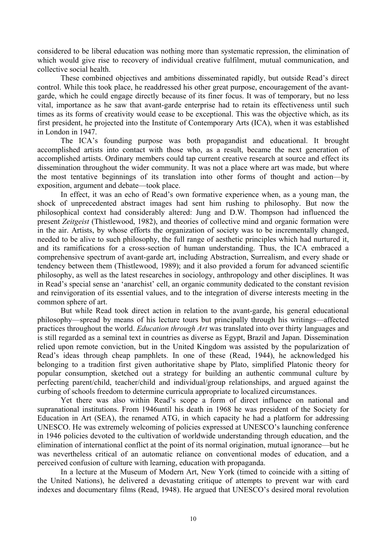considered to be liberal education was nothing more than systematic repression, the elimination of which would give rise to recovery of individual creative fulfilment, mutual communication, and collective social health.

These combined objectives and ambitions disseminated rapidly, but outside Read's direct control. While this took place, he readdressed his other great purpose, encouragement of the avantgarde, which he could engage directly because of its finer focus. It was of temporary, but no less vital, importance as he saw that avant-garde enterprise had to retain its effectiveness until such times as its forms of creativity would cease to be exceptional. This was the objective which, as its first president, he projected into the Institute of Contemporary Arts (ICA), when it was established in London in 1947.

The ICA's founding purpose was both propagandist and educational. It brought accomplished artists into contact with those who, as a result, became the next generation of accomplished artists. Ordinary members could tap current creative research at source and effect its dissemination throughout the wider community. It was not a place where art was made, but where the most tentative beginnings of its translation into other forms of thought and action—by exposition, argument and debate—took place.

In effect, it was an echo of Read's own formative experience when, as a young man, the shock of unprecedented abstract images had sent him rushing to philosophy. But now the philosophical context had considerably altered: Jung and D.W. Thompson had influenced the present *Zeitgeist* (Thistlewood, 1982), and theories of collective mind and organic formation were in the air. Artists, by whose efforts the organization of society was to be incrementally changed, needed to be alive to such philosophy, the full range of aesthetic principles which had nurtured it, and its ramifications for a cross-section of human understanding. Thus, the ICA embraced a comprehensive spectrum of avant-garde art, including Abstraction, Surrealism, and every shade or tendency between them (Thistlewood, 1989); and it also provided a forum for advanced scientific philosophy, as well as the latest researches in sociology, anthropology and other disciplines. It was in Read's special sense an 'anarchist' cell, an organic community dedicated to the constant revision and reinvigoration of its essential values, and to the integration of diverse interests meeting in the common sphere of art.

But while Read took direct action in relation to the avant-garde, his general educational philosophy—spread by means of his lecture tours but principally through his writings—affected practices throughout the world. *Education through Art* was translated into over thirty languages and is still regarded as a seminal text in countries as diverse as Egypt, Brazil and Japan. Dissemination relied upon remote conviction, but in the United Kingdom was assisted by the popularization of Read's ideas through cheap pamphlets. In one of these (Read, 1944), he acknowledged his belonging to a tradition first given authoritative shape by Plato, simplified Platonic theory for popular consumption, sketched out a strategy for building an authentic communal culture by perfecting parent/child, teacher/child and individual/group relationships, and argued against the curbing of schools freedom to determine curricula appropriate to localized circumstances.

Yet there was also within Read's scope a form of direct influence on national and supranational institutions. From 1946until his death in 1968 he was president of the Society for Education in Art (SEA), the renamed ATG, in which capacity he had a platform for addressing UNESCO. He was extremely welcoming of policies expressed at UNESCO's launching conference in 1946 policies devoted to the cultivation of worldwide understanding through education, and the elimination of international conflict at the point of its normal origination, mutual ignorance—but he was nevertheless critical of an automatic reliance on conventional modes of education, and a perceived confusion of culture with learning, education with propaganda.

In a lecture at the Museum of Modern Art, New York (timed to coincide with a sitting of the United Nations), he delivered a devastating critique of attempts to prevent war with card indexes and documentary films (Read, 1948). He argued that UNESCO's desired moral revolution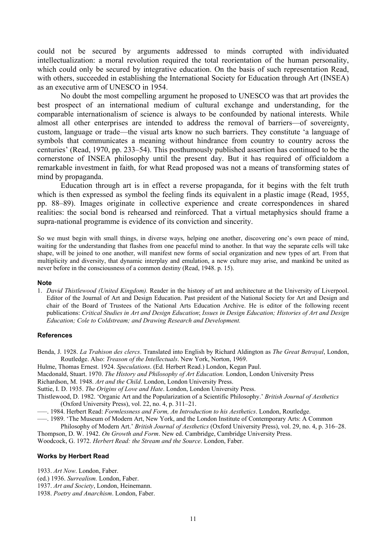could not be secured by arguments addressed to minds corrupted with individuated intellectualization: a moral revolution required the total reorientation of the human personality, which could only be secured by integrative education. On the basis of such representation Read, with others, succeeded in establishing the International Society for Education through Art (INSEA) as an executive arm of UNESCO in 1954.

No doubt the most compelling argument he proposed to UNESCO was that art provides the best prospect of an international medium of cultural exchange and understanding, for the comparable internationalism of science is always to be confounded by national interests. While almost all other enterprises are intended to address the removal of barriers—of sovereignty, custom, language or trade—the visual arts know no such barriers. They constitute 'a language of symbols that communicates a meaning without hindrance from country to country across the centuries' (Read, 1970, pp. 233–54). This posthumously published assertion has continued to be the cornerstone of INSEA philosophy until the present day. But it has required of officialdom a remarkable investment in faith, for what Read proposed was not a means of transforming states of mind by propaganda.

Education through art is in effect a reverse propaganda, for it begins with the felt truth which is then expressed as symbol the feeling finds its equivalent in a plastic image (Read, 1955, pp. 88–89). Images originate in collective experience and create correspondences in shared realities: the social bond is rehearsed and reinforced. That a virtual metaphysics should frame a supra-national programme is evidence of its conviction and sincerity.

So we must begin with small things, in diverse ways, helping one another, discovering one's own peace of mind, waiting for the understanding that flashes from one peaceful mind to another. In that way the separate cells will take shape, will be joined to one another, will manifest new forms of social organization and new types of art. From that multiplicity and diversity, that dynamic interplay and emulation, a new culture may arise, and mankind be united as never before in the consciousness of a common destiny (Read, 1948. p. 15).

#### **Note**

1. *David Thistlewood (United Kingdom).* Reader in the history of art and architecture at the University of Liverpool. Editor of the Journal of Art and Design Education. Past president of the National Society for Art and Design and chair of the Board of Trustees of the National Arts Education Archive. He is editor of the following recent publications: *Critical Studies in Art and Design Education*; *Issues in Design Education; Histories of Art and Design Education; Cole to Coldstream; and Drawing Research and Development.* 

#### **References**

- Benda, J. 1928. *La Trahison des clercs*. Translated into English by Richard Aldington as *The Great Betrayal*, London, Routledge. Also: *Treason of the Intellectuals*. New York, Norton, 1969.
- Hulme, Thomas Ernest. 1924. *Speculations*. (Ed. Herbert Read.) London, Kegan Paul.
- Macdonald, Stuart. 1970. *The History and Philosophy of Art Education.* London, London University Press
- Richardson, M. 1948. *Art and the Child*. London, London University Press.
- Suttie, I. D. 1935. *The Origins of Love and Hate*. London, London University Press.
- Thistlewood, D. 1982. 'Organic Art and the Popularization of a Scientific Philosophy.' *British Journal of Aesthetics* (Oxford University Press), vol. 22, no. 4, p. 311–21.
- –––. 1984. Herbert Read: *Formlessness and Form, An Introduction to his Aesthetics*. London, Routledge.
- –––. 1989. 'The Museum of Modern Art, New York, and the London Institute of Contemporary Arts: A Common Philosophy of Modern Art.' *British Journal of Aesthetics* (Oxford University Press), vol. 29, no. 4, p. 316–28.
- Thompson, D. W. 1942. *On Growth and Form*. New ed. Cambridge, Cambridge University Press.

Woodcock, G. 1972. *Herbert Read: the Stream and the Source*. London, Faber.

#### **Works by Herbert Read**

1933. *Art Now*. London, Faber.

- (ed.) 1936. *Surrealism.* London, Faber.
- 1937. *Art and Society*, London, Heinemann.
- 1938. *Poetry and Anarchism*. London, Faber.